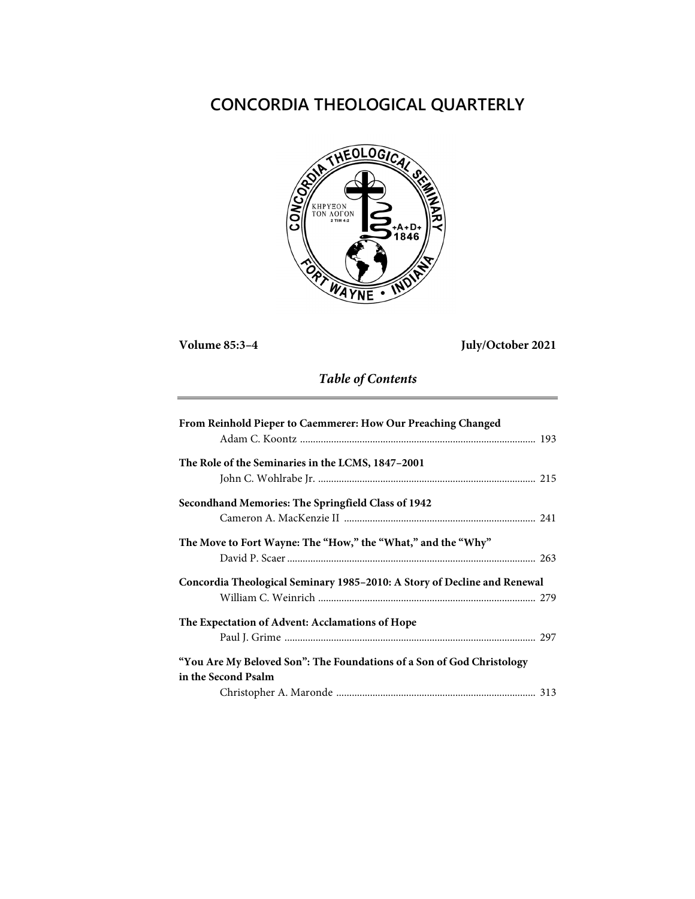# **CONCORDIA THEOLOGICAL QUARTERLY**



**Volume 85:3–4 July/October 2021**

## *Table of Contents*

| From Reinhold Pieper to Caemmerer: How Our Preaching Changed             |
|--------------------------------------------------------------------------|
|                                                                          |
| The Role of the Seminaries in the LCMS, 1847–2001                        |
|                                                                          |
| Secondhand Memories: The Springfield Class of 1942                       |
|                                                                          |
| The Move to Fort Wayne: The "How," the "What," and the "Why"             |
|                                                                          |
| Concordia Theological Seminary 1985-2010: A Story of Decline and Renewal |
|                                                                          |
| The Expectation of Advent: Acclamations of Hope                          |
|                                                                          |
| "You Are My Beloved Son": The Foundations of a Son of God Christology    |
| in the Second Psalm                                                      |
|                                                                          |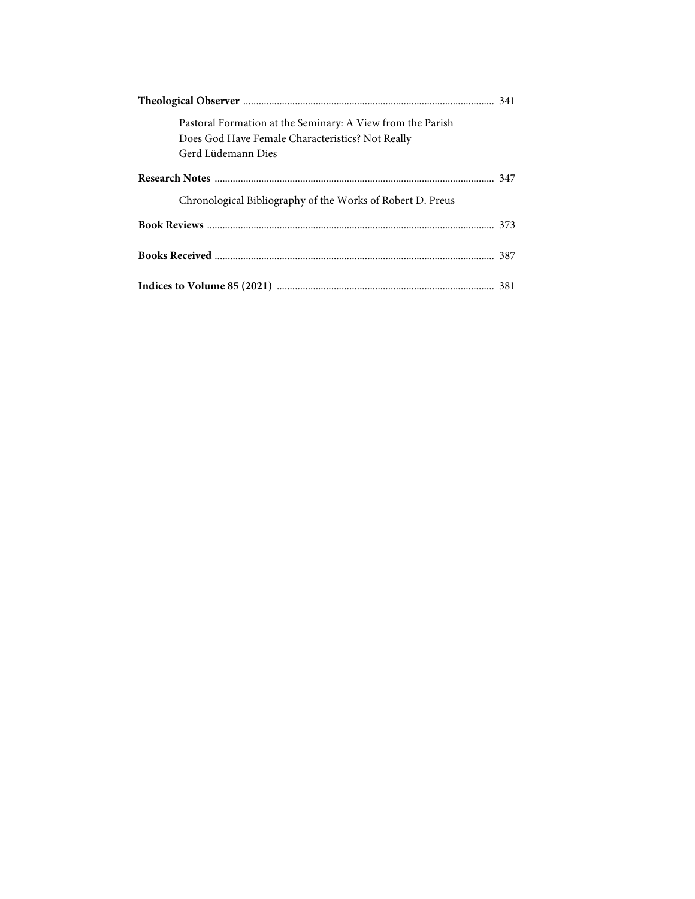| Pastoral Formation at the Seminary: A View from the Parish |  |
|------------------------------------------------------------|--|
| Does God Have Female Characteristics? Not Really           |  |
| Gerd Lüdemann Dies                                         |  |
|                                                            |  |
| Chronological Bibliography of the Works of Robert D. Preus |  |
|                                                            |  |
|                                                            |  |
|                                                            |  |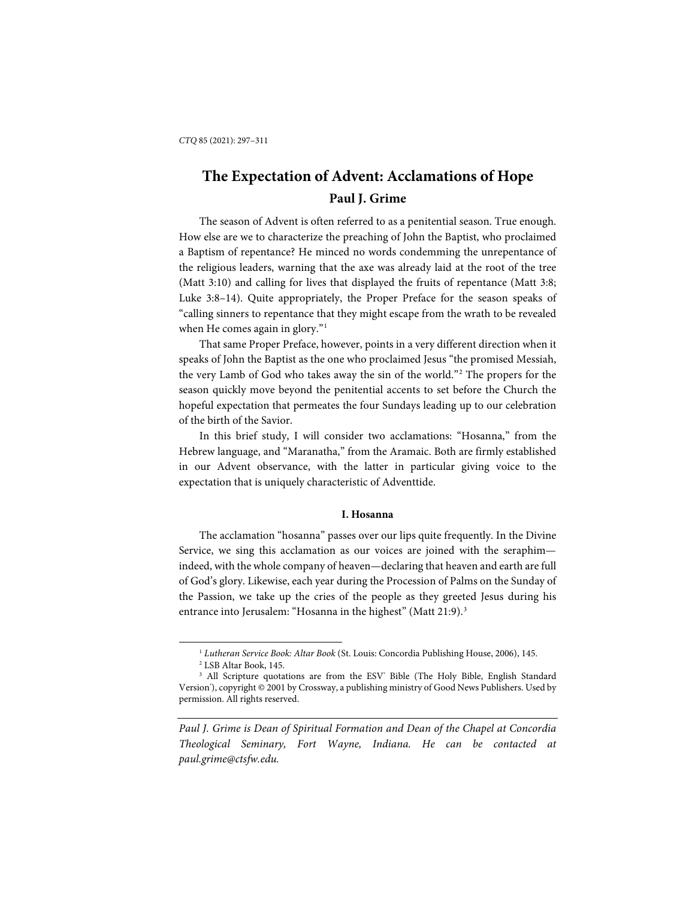## **The Expectation of Advent: Acclamations of Hope Paul J. Grime**

The season of Advent is often referred to as a penitential season. True enough. How else are we to characterize the preaching of John the Baptist, who proclaimed a Baptism of repentance? He minced no words condemming the unrepentance of the religious leaders, warning that the axe was already laid at the root of the tree (Matt 3:10) and calling for lives that displayed the fruits of repentance (Matt 3:8; Luke 3:8–14). Quite appropriately, the Proper Preface for the season speaks of "calling sinners to repentance that they might escape from the wrath to be revealed when He comes again in glory."<sup>[1](#page-2-0)</sup>

That same Proper Preface, however, points in a very different direction when it speaks of John the Baptist as the one who proclaimed Jesus "the promised Messiah, the very Lamb of God who takes away the sin of the world."[2](#page-2-1) The propers for the season quickly move beyond the penitential accents to set before the Church the hopeful expectation that permeates the four Sundays leading up to our celebration of the birth of the Savior.

In this brief study, I will consider two acclamations: "Hosanna," from the Hebrew language, and "Maranatha," from the Aramaic. Both are firmly established in our Advent observance, with the latter in particular giving voice to the expectation that is uniquely characteristic of Adventtide.

#### **I. Hosanna**

The acclamation "hosanna" passes over our lips quite frequently. In the Divine Service, we sing this acclamation as our voices are joined with the seraphim indeed, with the whole company of heaven—declaring that heaven and earth are full of God's glory. Likewise, each year during the Procession of Palms on the Sunday of the Passion, we take up the cries of the people as they greeted Jesus during his entrance into Jerusalem: "Hosanna in the highest" (Matt 21:9).<sup>[3](#page-2-2)</sup>

<sup>1</sup> *Lutheran Service Book: Altar Book* (St. Louis: Concordia Publishing House, 2006), 145.

<sup>2</sup> LSB Altar Book, 145.

<span id="page-2-2"></span><span id="page-2-1"></span><span id="page-2-0"></span><sup>&</sup>lt;sup>3</sup> All Scripture quotations are from the ESV<sup>®</sup> Bible (The Holy Bible, English Standard Version'), copyright © 2001 by Crossway, a publishing ministry of Good News Publishers. Used by permission. All rights reserved.

*Paul J. Grime is Dean of Spiritual Formation and Dean of the Chapel at Concordia Theological Seminary, Fort Wayne, Indiana. He can be contacted at paul.grime@ctsfw.edu.*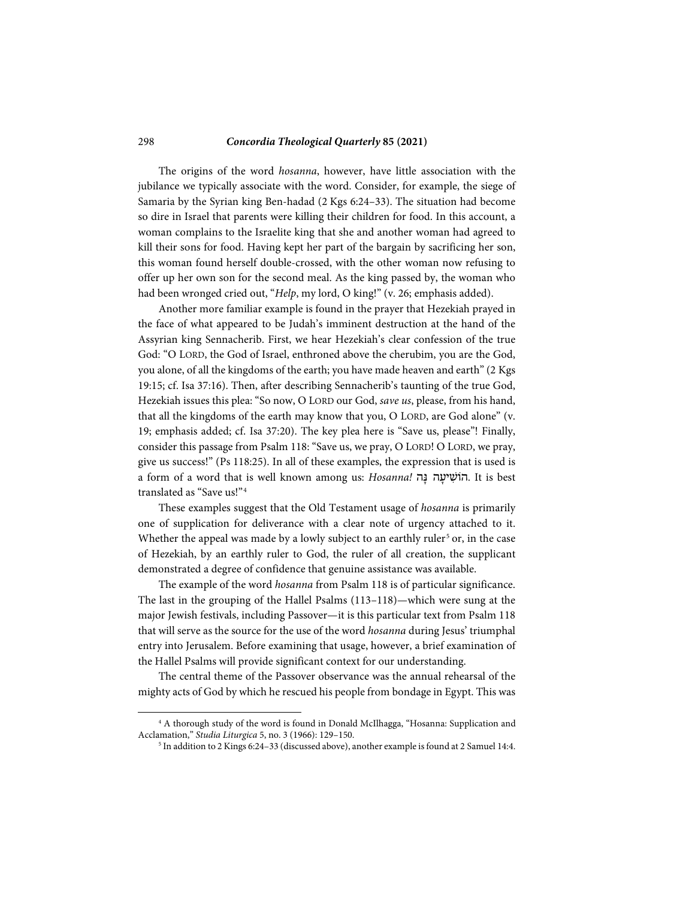The origins of the word *hosanna*, however, have little association with the jubilance we typically associate with the word. Consider, for example, the siege of Samaria by the Syrian king Ben-hadad (2 Kgs 6:24–33). The situation had become so dire in Israel that parents were killing their children for food. In this account, a woman complains to the Israelite king that she and another woman had agreed to kill their sons for food. Having kept her part of the bargain by sacrificing her son, this woman found herself double-crossed, with the other woman now refusing to offer up her own son for the second meal. As the king passed by, the woman who had been wronged cried out, "*Help*, my lord, O king!" (v. 26; emphasis added).

Another more familiar example is found in the prayer that Hezekiah prayed in the face of what appeared to be Judah's imminent destruction at the hand of the Assyrian king Sennacherib. First, we hear Hezekiah's clear confession of the true God: "O LORD, the God of Israel, enthroned above the cherubim, you are the God, you alone, of all the kingdoms of the earth; you have made heaven and earth" (2 Kgs 19:15; cf. Isa 37:16). Then, after describing Sennacherib's taunting of the true God, Hezekiah issues this plea: "So now, O LORD our God, *save us*, please, from his hand, that all the kingdoms of the earth may know that you, O LORD, are God alone" (v. 19; emphasis added; cf. Isa 37:20). The key plea here is "Save us, please"! Finally, consider this passage from Psalm 118: "Save us, we pray, O LORD! O LORD, we pray, give us success!" (Ps 118:25). In all of these examples, the expression that is used is a form of a word that is well known among us: *Hosanna! הוֹשִׁיעַה* נַ*ה.* It is best translated as "Save us!"[4](#page-3-0)

These examples suggest that the Old Testament usage of *hosanna* is primarily one of supplication for deliverance with a clear note of urgency attached to it. Whether the appeal was made by a lowly subject to an earthly ruler<sup>[5](#page-3-1)</sup> or, in the case of Hezekiah, by an earthly ruler to God, the ruler of all creation, the supplicant demonstrated a degree of confidence that genuine assistance was available.

The example of the word *hosanna* from Psalm 118 is of particular significance. The last in the grouping of the Hallel Psalms (113–118)—which were sung at the major Jewish festivals, including Passover—it is this particular text from Psalm 118 that will serve as the source for the use of the word *hosanna* during Jesus' triumphal entry into Jerusalem. Before examining that usage, however, a brief examination of the Hallel Psalms will provide significant context for our understanding.

The central theme of the Passover observance was the annual rehearsal of the mighty acts of God by which he rescued his people from bondage in Egypt. This was

l

<span id="page-3-1"></span><span id="page-3-0"></span><sup>4</sup> A thorough study of the word is found in Donald McIlhagga, "Hosanna: Supplication and Acclamation," *Studia Liturgica* 5, no. 3 (1966): 129–150.

<sup>5</sup> In addition to 2 Kings 6:24–33 (discussed above), another example is found at 2 Samuel 14:4.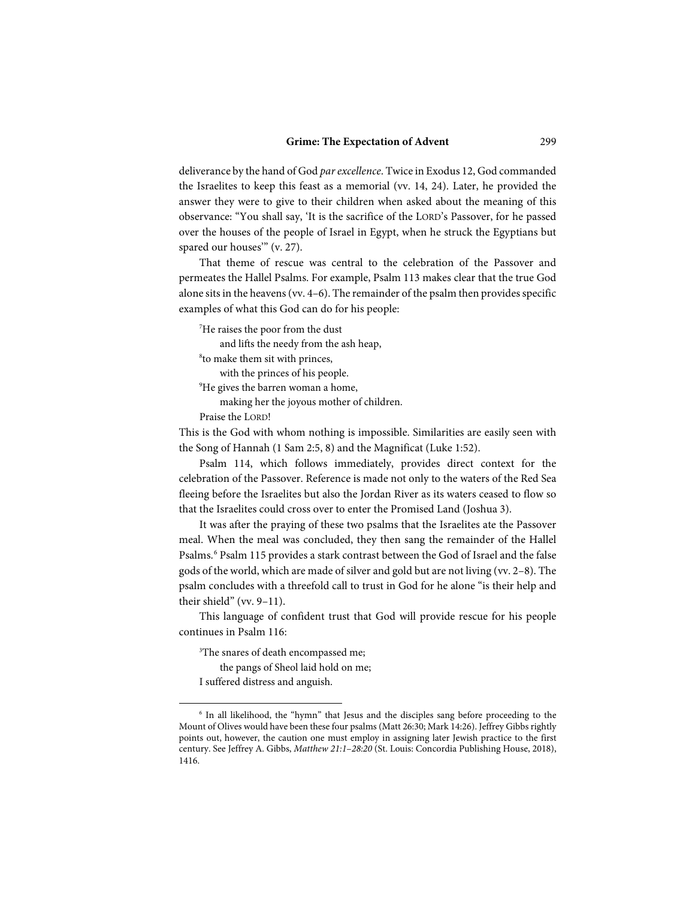#### **Grime: The Expectation of Advent** 299

deliverance by the hand of God *par excellence*. Twice in Exodus 12, God commanded the Israelites to keep this feast as a memorial (vv. 14, 24). Later, he provided the answer they were to give to their children when asked about the meaning of this observance: "You shall say, 'It is the sacrifice of the LORD's Passover, for he passed over the houses of the people of Israel in Egypt, when he struck the Egyptians but spared our houses" (v. 27).

That theme of rescue was central to the celebration of the Passover and permeates the Hallel Psalms. For example, Psalm 113 makes clear that the true God alone sits in the heavens (vv. 4–6). The remainder of the psalm then provides specific examples of what this God can do for his people:

7 He raises the poor from the dust

and lifts the needy from the ash heap,

8 to make them sit with princes,

with the princes of his people.

<sup>9</sup>He gives the barren woman a home,

making her the joyous mother of children.

Praise the LORD!

This is the God with whom nothing is impossible. Similarities are easily seen with the Song of Hannah (1 Sam 2:5, 8) and the Magnificat (Luke 1:52).

Psalm 114, which follows immediately, provides direct context for the celebration of the Passover. Reference is made not only to the waters of the Red Sea fleeing before the Israelites but also the Jordan River as its waters ceased to flow so that the Israelites could cross over to enter the Promised Land (Joshua 3).

It was after the praying of these two psalms that the Israelites ate the Passover meal. When the meal was concluded, they then sang the remainder of the Hallel Psalms.[6](#page-4-0) Psalm 115 provides a stark contrast between the God of Israel and the false gods of the world, which are made of silver and gold but are not living (vv. 2–8). The psalm concludes with a threefold call to trust in God for he alone "is their help and their shield" (vv. 9–11).

This language of confident trust that God will provide rescue for his people continues in Psalm 116:

3 The snares of death encompassed me;

the pangs of Sheol laid hold on me;

I suffered distress and anguish.

<span id="page-4-0"></span><sup>&</sup>lt;sup>6</sup> In all likelihood, the "hymn" that Jesus and the disciples sang before proceeding to the Mount of Olives would have been these four psalms (Matt 26:30; Mark 14:26). Jeffrey Gibbs rightly points out, however, the caution one must employ in assigning later Jewish practice to the first century. See Jeffrey A. Gibbs, *Matthew 21:1*–*28:20* (St. Louis: Concordia Publishing House, 2018), 1416.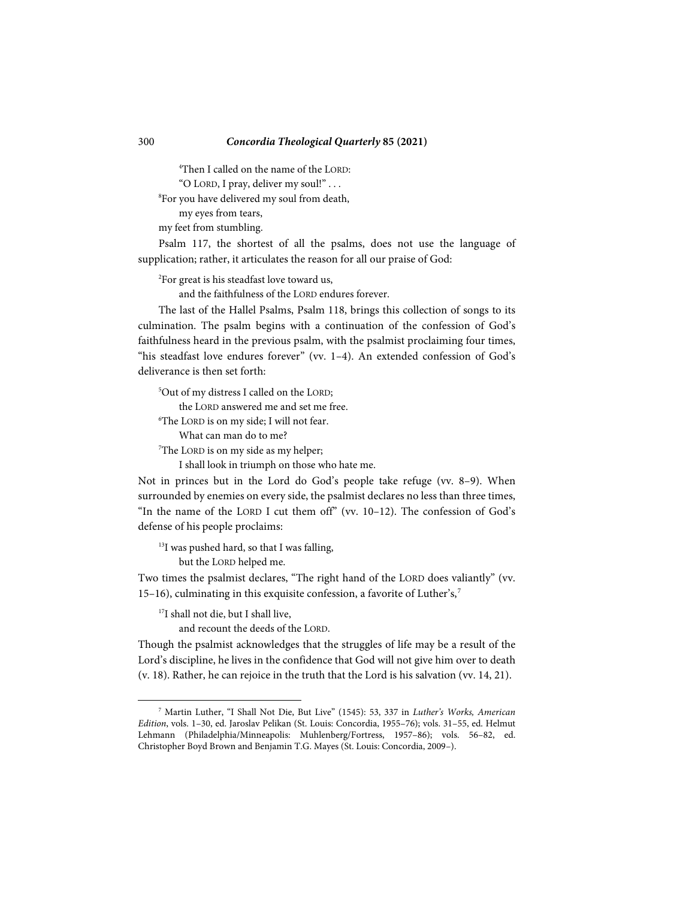4 Then I called on the name of the LORD: "O LORD, I pray, deliver my soul!" . . .

8 For you have delivered my soul from death,

my eyes from tears,

my feet from stumbling.

Psalm 117, the shortest of all the psalms, does not use the language of supplication; rather, it articulates the reason for all our praise of God:

2 For great is his steadfast love toward us,

and the faithfulness of the LORD endures forever.

The last of the Hallel Psalms, Psalm 118, brings this collection of songs to its culmination. The psalm begins with a continuation of the confession of God's faithfulness heard in the previous psalm, with the psalmist proclaiming four times, "his steadfast love endures forever" (vv. 1–4). An extended confession of God's deliverance is then set forth:

5 Out of my distress I called on the LORD; the LORD answered me and set me free. 6 The LORD is on my side; I will not fear. What can man do to me? 7 The LORD is on my side as my helper; I shall look in triumph on those who hate me.

Not in princes but in the Lord do God's people take refuge (vv. 8-9). When surrounded by enemies on every side, the psalmist declares no less than three times, "In the name of the LORD I cut them off" (vv. 10–12). The confession of God's defense of his people proclaims:

<sup>13</sup>I was pushed hard, so that I was falling, but the LORD helped me.

Two times the psalmist declares, "The right hand of the LORD does valiantly" (vv. 15–16), culminating in this exquisite confession, a favorite of Luther's,<sup>[7](#page-5-0)</sup>

<sup>17</sup>I shall not die, but I shall live,

l

and recount the deeds of the LORD.

Though the psalmist acknowledges that the struggles of life may be a result of the Lord's discipline, he lives in the confidence that God will not give him over to death (v. 18). Rather, he can rejoice in the truth that the Lord is his salvation (vv. 14, 21).

<span id="page-5-0"></span><sup>7</sup> Martin Luther, "I Shall Not Die, But Live" (1545): 53, 337 in *Luther's Works, American Edition*, vols. 1–30, ed. Jaroslav Pelikan (St. Louis: Concordia, 1955–76); vols. 31–55, ed. Helmut Lehmann (Philadelphia/Minneapolis: Muhlenberg/Fortress, 1957–86); vols. 56–82, ed. Christopher Boyd Brown and Benjamin T.G. Mayes (St. Louis: Concordia, 2009–).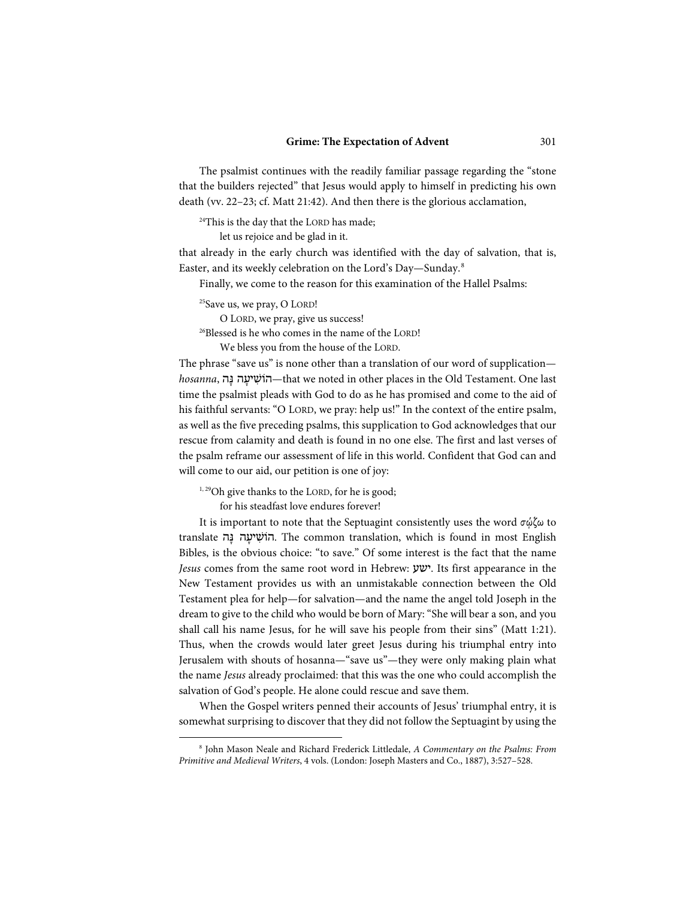#### **Grime: The Expectation of Advent** 301

The psalmist continues with the readily familiar passage regarding the "stone that the builders rejected" that Jesus would apply to himself in predicting his own death (vv. 22–23; cf. Matt 21:42). And then there is the glorious acclamation,

<sup>24</sup>This is the day that the LORD has made;

let us rejoice and be glad in it.

that already in the early church was identified with the day of salvation, that is, Easter, and its weekly celebration on the Lord's Day—Sunday.[8](#page-6-0)

Finally, we come to the reason for this examination of the Hallel Psalms:

 $25$ Save us, we pray, O LORD!

O LORD, we pray, give us success!

<sup>26</sup>Blessed is he who comes in the name of the LORD!

We bless you from the house of the LORD.

The phrase "save us" is none other than a translation of our word of supplication *hosanna*, ה ָנּ ה ָיע ִהוֹשׁ—that we noted in other places in the Old Testament. One last time the psalmist pleads with God to do as he has promised and come to the aid of his faithful servants: "O LORD, we pray: help us!" In the context of the entire psalm, as well as the five preceding psalms, this supplication to God acknowledges that our rescue from calamity and death is found in no one else. The first and last verses of the psalm reframe our assessment of life in this world. Confident that God can and will come to our aid, our petition is one of joy:

<sup>1,29</sup>Oh give thanks to the LORD, for he is good;

for his steadfast love endures forever!

-

It is important to note that the Septuagint consistently uses the word  $\sigma\omega\zeta\omega$  to translate הוֹשִׁיעַה בָּה. The common translation, which is found in most English Bibles, is the obvious choice: "to save." Of some interest is the fact that the name *Jesus* comes from the same root word in Hebrew: ישע. Its first appearance in the New Testament provides us with an unmistakable connection between the Old Testament plea for help—for salvation—and the name the angel told Joseph in the dream to give to the child who would be born of Mary: "She will bear a son, and you shall call his name Jesus, for he will save his people from their sins" (Matt 1:21). Thus, when the crowds would later greet Jesus during his triumphal entry into Jerusalem with shouts of hosanna—"save us"—they were only making plain what the name *Jesus* already proclaimed: that this was the one who could accomplish the salvation of God's people. He alone could rescue and save them.

When the Gospel writers penned their accounts of Jesus' triumphal entry, it is somewhat surprising to discover that they did not follow the Septuagint by using the

<span id="page-6-0"></span><sup>8</sup> John Mason Neale and Richard Frederick Littledale, *A Commentary on the Psalms: From Primitive and Medieval Writers*, 4 vols. (London: Joseph Masters and Co., 1887), 3:527–528.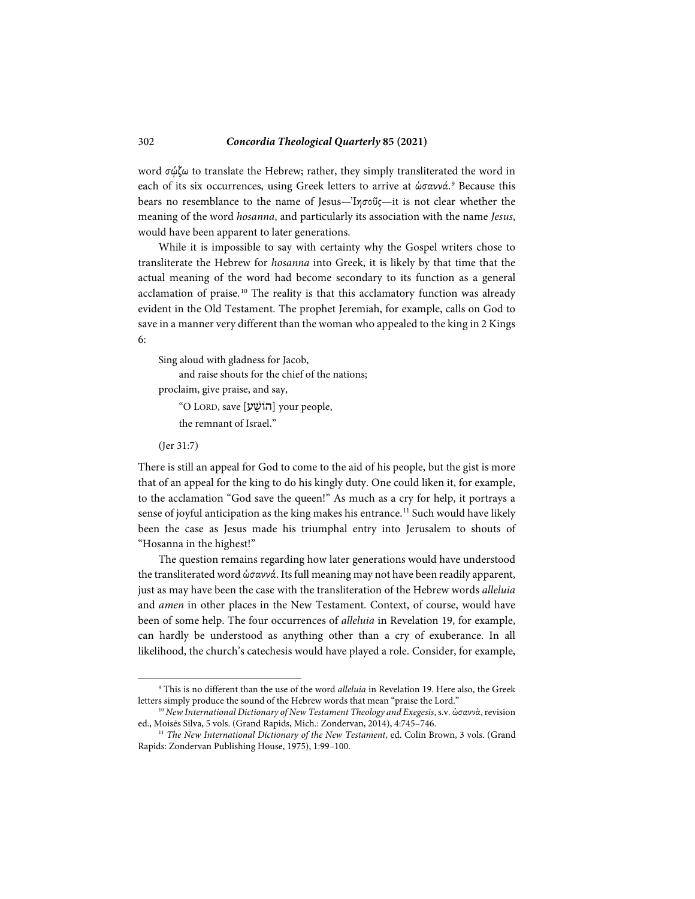word σώζω to translate the Hebrew; rather, they simply transliterated the word in each of its six occurrences, using Greek letters to arrive at ώσαννά.<sup>[9](#page-7-0)</sup> Because this bears no resemblance to the name of Jesus—Ἰησοῦς—it is not clear whether the meaning of the word *hosanna*, and particularly its association with the name *Jesus*, would have been apparent to later generations.

While it is impossible to say with certainty why the Gospel writers chose to transliterate the Hebrew for *hosanna* into Greek, it is likely by that time that the actual meaning of the word had become secondary to its function as a general acclamation of praise.<sup>[10](#page-7-1)</sup> The reality is that this acclamatory function was already evident in the Old Testament. The prophet Jeremiah, for example, calls on God to save in a manner very different than the woman who appealed to the king in 2 Kings 6:

Sing aloud with gladness for Jacob,

and raise shouts for the chief of the nations;

proclaim, give praise, and say,

"O LORD, save [הוֹשֵׁע] your people, the remnant of Israel."

(Jer 31:7)

l

There is still an appeal for God to come to the aid of his people, but the gist is more that of an appeal for the king to do his kingly duty. One could liken it, for example, to the acclamation "God save the queen!" As much as a cry for help, it portrays a sense of joyful anticipation as the king makes his entrance.<sup>[11](#page-7-2)</sup> Such would have likely been the case as Jesus made his triumphal entry into Jerusalem to shouts of "Hosanna in the highest!"

The question remains regarding how later generations would have understood the transliterated word ὡσαννά. Its full meaning may not have been readily apparent, just as may have been the case with the transliteration of the Hebrew words *alleluia* and *amen* in other places in the New Testament. Context, of course, would have been of some help. The four occurrences of *alleluia* in Revelation 19, for example, can hardly be understood as anything other than a cry of exuberance. In all likelihood, the church's catechesis would have played a role. Consider, for example,

<span id="page-7-0"></span><sup>9</sup> This is no different than the use of the word *alleluia* in Revelation 19. Here also, the Greek letters simply produce the sound of the Hebrew words that mean "praise the Lord."

<span id="page-7-1"></span><sup>&</sup>lt;sup>10</sup> *New International Dictionary of New Testament Theology and Exegesis*, s.v. ὡσαννὰ, revision ed., Moisés Silva, 5 vols. (Grand Rapids, Mich.: Zondervan, 2014), 4:745–746.

<span id="page-7-2"></span><sup>&</sup>lt;sup>11</sup> The New International Dictionary of the New Testament, ed. Colin Brown, 3 vols. (Grand Rapids: Zondervan Publishing House, 1975), 1:99–100.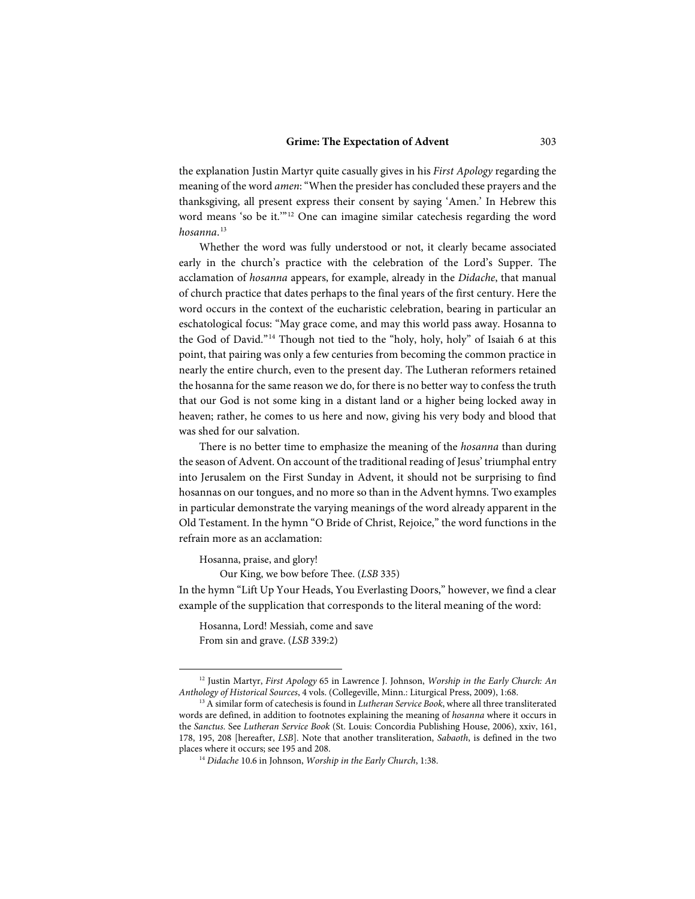the explanation Justin Martyr quite casually gives in his *First Apology* regarding the meaning of the word *amen*: "When the presider has concluded these prayers and the thanksgiving, all present express their consent by saying 'Amen.' In Hebrew this word means 'so be it.'"[12](#page-8-0) One can imagine similar catechesis regarding the word *hosanna*. [13](#page-8-1)

Whether the word was fully understood or not, it clearly became associated early in the church's practice with the celebration of the Lord's Supper. The acclamation of *hosanna* appears, for example, already in the *Didache*, that manual of church practice that dates perhaps to the final years of the first century. Here the word occurs in the context of the eucharistic celebration, bearing in particular an eschatological focus: "May grace come, and may this world pass away. Hosanna to the God of David."[14](#page-8-2) Though not tied to the "holy, holy, holy" of Isaiah 6 at this point, that pairing was only a few centuries from becoming the common practice in nearly the entire church, even to the present day. The Lutheran reformers retained the hosanna for the same reason we do, for there is no better way to confess the truth that our God is not some king in a distant land or a higher being locked away in heaven; rather, he comes to us here and now, giving his very body and blood that was shed for our salvation.

There is no better time to emphasize the meaning of the *hosanna* than during the season of Advent. On account of the traditional reading of Jesus' triumphal entry into Jerusalem on the First Sunday in Advent, it should not be surprising to find hosannas on our tongues, and no more so than in the Advent hymns. Two examples in particular demonstrate the varying meanings of the word already apparent in the Old Testament. In the hymn "O Bride of Christ, Rejoice," the word functions in the refrain more as an acclamation:

Hosanna, praise, and glory!

-

Our King, we bow before Thee. (*LSB* 335)

In the hymn "Lift Up Your Heads, You Everlasting Doors," however, we find a clear example of the supplication that corresponds to the literal meaning of the word:

Hosanna, Lord! Messiah, come and save From sin and grave. (*LSB* 339:2)

<span id="page-8-0"></span><sup>12</sup> Justin Martyr, *First Apology* 65 in Lawrence J. Johnson, *Worship in the Early Church: An Anthology of Historical Sources*, 4 vols. (Collegeville, Minn.: Liturgical Press, 2009), 1:68.

<span id="page-8-2"></span><span id="page-8-1"></span><sup>13</sup> A similar form of catechesis is found in *Lutheran Service Book*, where all three transliterated words are defined, in addition to footnotes explaining the meaning of *hosanna* where it occurs in the *Sanctus*. See *Lutheran Service Book* (St. Louis: Concordia Publishing House, 2006), xxiv, 161, 178, 195, 208 [hereafter, *LSB*]. Note that another transliteration, *Sabaoth*, is defined in the two places where it occurs; see 195 and 208.

<sup>14</sup> *Didache* 10.6 in Johnson, *Worship in the Early Church*, 1:38.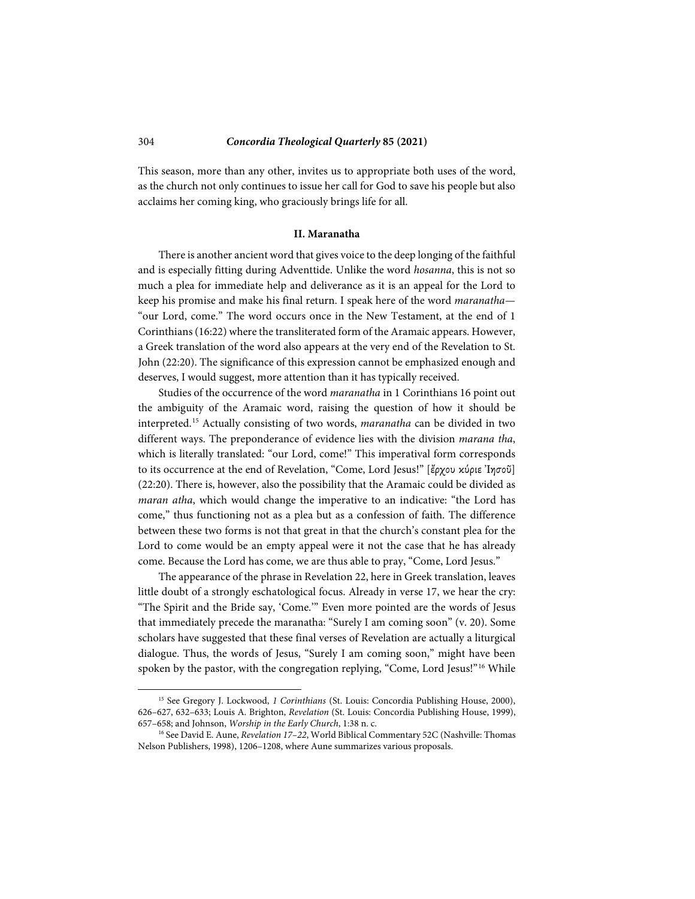This season, more than any other, invites us to appropriate both uses of the word, as the church not only continues to issue her call for God to save his people but also acclaims her coming king, who graciously brings life for all.

#### **II. Maranatha**

There is another ancient word that gives voice to the deep longing of the faithful and is especially fitting during Adventtide. Unlike the word *hosanna*, this is not so much a plea for immediate help and deliverance as it is an appeal for the Lord to keep his promise and make his final return. I speak here of the word *maranatha*— "our Lord, come." The word occurs once in the New Testament, at the end of 1 Corinthians (16:22) where the transliterated form of the Aramaic appears. However, a Greek translation of the word also appears at the very end of the Revelation to St. John (22:20). The significance of this expression cannot be emphasized enough and deserves, I would suggest, more attention than it has typically received.

Studies of the occurrence of the word *maranatha* in 1 Corinthians 16 point out the ambiguity of the Aramaic word, raising the question of how it should be interpreted.[15](#page-9-0) Actually consisting of two words, *maranatha* can be divided in two different ways. The preponderance of evidence lies with the division *marana tha*, which is literally translated: "our Lord, come!" This imperatival form corresponds to its occurrence at the end of Revelation, "Come, Lord Jesus!" [ἔρχου κύριε Ἰησοῦ] (22:20). There is, however, also the possibility that the Aramaic could be divided as *maran atha*, which would change the imperative to an indicative: "the Lord has come," thus functioning not as a plea but as a confession of faith. The difference between these two forms is not that great in that the church's constant plea for the Lord to come would be an empty appeal were it not the case that he has already come. Because the Lord has come, we are thus able to pray, "Come, Lord Jesus."

The appearance of the phrase in Revelation 22, here in Greek translation, leaves little doubt of a strongly eschatological focus. Already in verse 17, we hear the cry: "The Spirit and the Bride say, 'Come.'" Even more pointed are the words of Jesus that immediately precede the maranatha: "Surely I am coming soon" (v. 20). Some scholars have suggested that these final verses of Revelation are actually a liturgical dialogue. Thus, the words of Jesus, "Surely I am coming soon," might have been spoken by the pastor, with the congregation replying, "Come, Lord Jesus!"<sup>[16](#page-9-1)</sup> While

<span id="page-9-0"></span><sup>15</sup> See Gregory J. Lockwood, *1 Corinthians* (St. Louis: Concordia Publishing House, 2000), 626–627, 632–633; Louis A. Brighton, *Revelation* (St. Louis: Concordia Publishing House, 1999), 657–658; and Johnson, *Worship in the Early Church*, 1:38 n. c.

<span id="page-9-1"></span><sup>16</sup> See David E. Aune, *Revelation 17–22*, World Biblical Commentary 52C (Nashville: Thomas Nelson Publishers, 1998), 1206–1208, where Aune summarizes various proposals.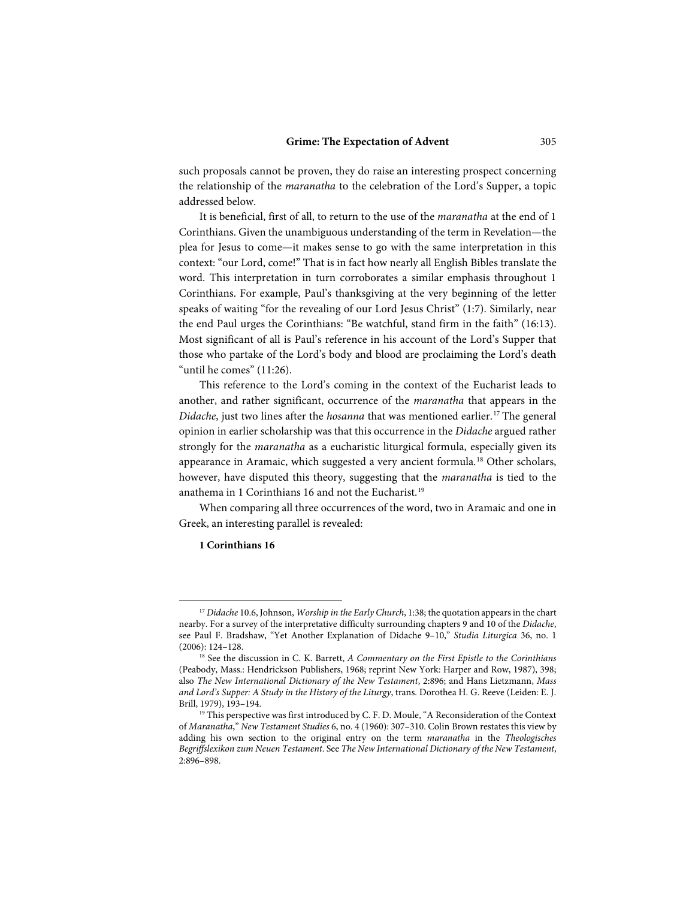such proposals cannot be proven, they do raise an interesting prospect concerning the relationship of the *maranatha* to the celebration of the Lord's Supper, a topic addressed below.

It is beneficial, first of all, to return to the use of the *maranatha* at the end of 1 Corinthians. Given the unambiguous understanding of the term in Revelation—the plea for Jesus to come—it makes sense to go with the same interpretation in this context: "our Lord, come!" That is in fact how nearly all English Bibles translate the word. This interpretation in turn corroborates a similar emphasis throughout 1 Corinthians. For example, Paul's thanksgiving at the very beginning of the letter speaks of waiting "for the revealing of our Lord Jesus Christ" (1:7). Similarly, near the end Paul urges the Corinthians: "Be watchful, stand firm in the faith" (16:13). Most significant of all is Paul's reference in his account of the Lord's Supper that those who partake of the Lord's body and blood are proclaiming the Lord's death "until he comes" (11:26).

This reference to the Lord's coming in the context of the Eucharist leads to another, and rather significant, occurrence of the *maranatha* that appears in the *Didache*, just two lines after the *hosanna* that was mentioned earlier.<sup>[17](#page-10-0)</sup> The general opinion in earlier scholarship was that this occurrence in the *Didache* argued rather strongly for the *maranatha* as a eucharistic liturgical formula, especially given its appearance in Aramaic, which suggested a very ancient formula.<sup>[18](#page-10-1)</sup> Other scholars, however, have disputed this theory, suggesting that the *maranatha* is tied to the anathema in 1 Corinthians 16 and not the Eucharist.<sup>[19](#page-10-2)</sup>

When comparing all three occurrences of the word, two in Aramaic and one in Greek, an interesting parallel is revealed:

#### **1 Corinthians 16**

<span id="page-10-0"></span><sup>17</sup> *Didache* 10.6, Johnson, *Worship in the Early Church*, 1:38; the quotation appears in the chart nearby. For a survey of the interpretative difficulty surrounding chapters 9 and 10 of the *Didache*, see Paul F. Bradshaw, "Yet Another Explanation of Didache 9–10," *Studia Liturgica* 36, no. 1 (2006): 124–128.

<span id="page-10-1"></span><sup>18</sup> See the discussion in C. K. Barrett, *A Commentary on the First Epistle to the Corinthians* (Peabody, Mass.: Hendrickson Publishers, 1968; reprint New York: Harper and Row, 1987), 398; also *The New International Dictionary of the New Testament*, 2:896; and Hans Lietzmann, *Mass and Lord's Supper: A Study in the History of the Liturgy*, trans. Dorothea H. G. Reeve (Leiden: E. J. Brill, 1979), 193–194.

<span id="page-10-2"></span><sup>&</sup>lt;sup>19</sup> This perspective was first introduced by C. F. D. Moule, "A Reconsideration of the Context of *Maranatha*," *New Testament Studies* 6, no. 4 (1960): 307–310. Colin Brown restates this view by adding his own section to the original entry on the term *maranatha* in the *Theologisches Begriffslexikon zum Neuen Testament*. See *The New International Dictionary of the New Testament*, 2:896–898.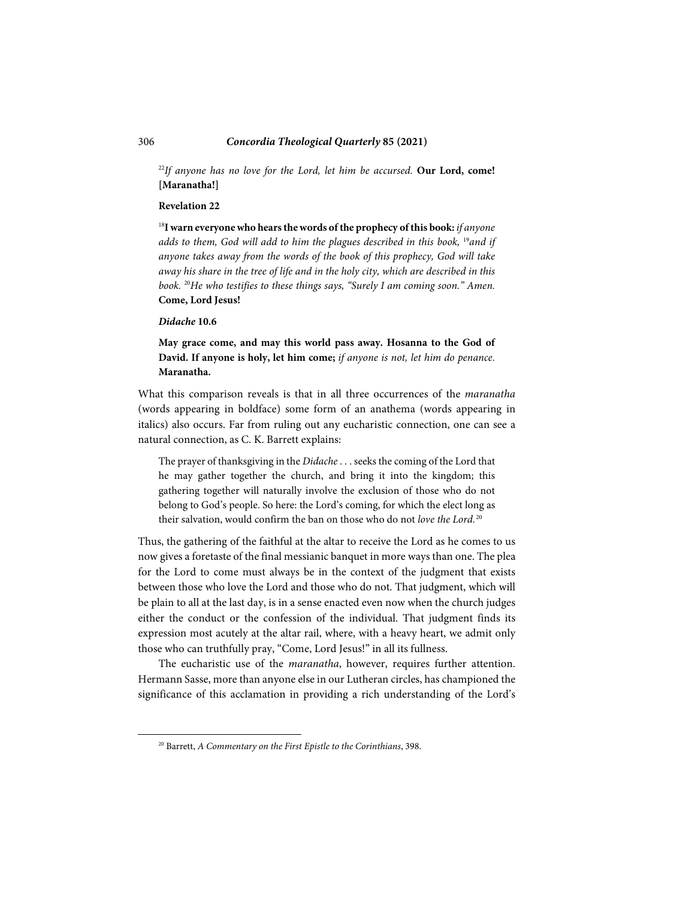<sup>22</sup>If anyone has no love for the Lord, let him be accursed. **Our Lord, come! [Maranatha!]**

### **Revelation 22**

<sup>18</sup>**I warn everyone who hears the words of the prophecy of this book:** *if anyone adds to them, God will add to him the plagues described in this book,* <sup>19</sup>*and if anyone takes away from the words of the book of this prophecy, God will take away his share in the tree of life and in the holy city, which are described in this book.* <sup>20</sup>*He who testifies to these things says, "Surely I am coming soon." Amen.*  **Come, Lord Jesus!**

#### *Didache* **10.6**

**May grace come, and may this world pass away. Hosanna to the God of David. If anyone is holy, let him come;** *if anyone is not, let him do penance.*  **Maranatha.**

What this comparison reveals is that in all three occurrences of the *maranatha* (words appearing in boldface) some form of an anathema (words appearing in italics) also occurs. Far from ruling out any eucharistic connection, one can see a natural connection, as C. K. Barrett explains:

The prayer of thanksgiving in the *Didache* . . . seeks the coming of the Lord that he may gather together the church, and bring it into the kingdom; this gathering together will naturally involve the exclusion of those who do not belong to God's people. So here: the Lord's coming, for which the elect long as their salvation, would confirm the ban on those who do not *love the Lord.*[20](#page-11-0)

Thus, the gathering of the faithful at the altar to receive the Lord as he comes to us now gives a foretaste of the final messianic banquet in more ways than one. The plea for the Lord to come must always be in the context of the judgment that exists between those who love the Lord and those who do not. That judgment, which will be plain to all at the last day, is in a sense enacted even now when the church judges either the conduct or the confession of the individual. That judgment finds its expression most acutely at the altar rail, where, with a heavy heart, we admit only those who can truthfully pray, "Come, Lord Jesus!" in all its fullness.

The eucharistic use of the *maranatha*, however, requires further attention. Hermann Sasse, more than anyone else in our Lutheran circles, has championed the significance of this acclamation in providing a rich understanding of the Lord's

<span id="page-11-0"></span>l

<sup>20</sup> Barrett, *A Commentary on the First Epistle to the Corinthians*, 398.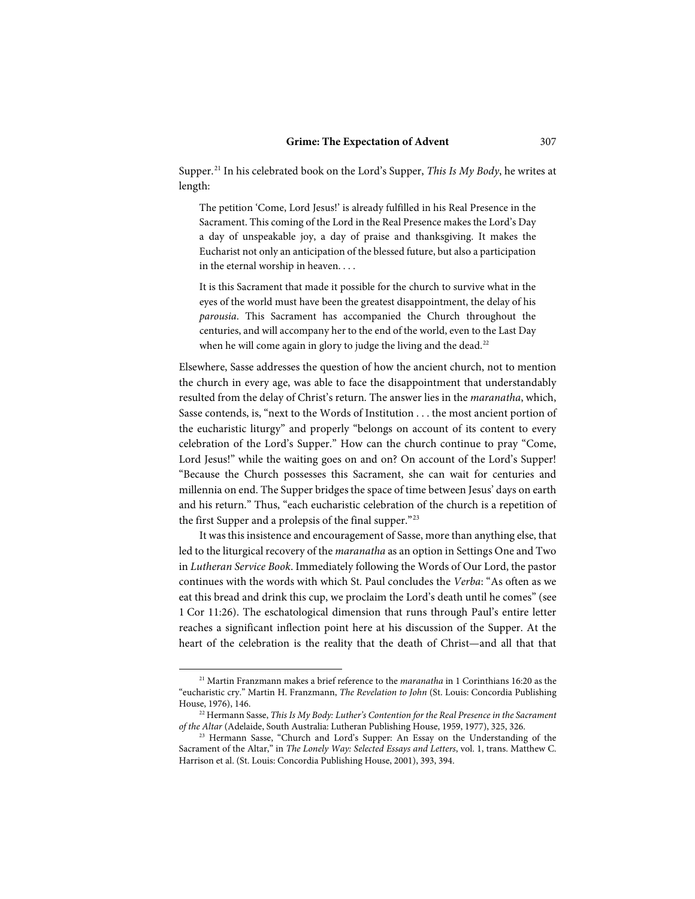Supper.[21](#page-12-0) In his celebrated book on the Lord's Supper, *This Is My Body*, he writes at length:

The petition 'Come, Lord Jesus!' is already fulfilled in his Real Presence in the Sacrament. This coming of the Lord in the Real Presence makes the Lord's Day a day of unspeakable joy, a day of praise and thanksgiving. It makes the Eucharist not only an anticipation of the blessed future, but also a participation in the eternal worship in heaven. . . .

It is this Sacrament that made it possible for the church to survive what in the eyes of the world must have been the greatest disappointment, the delay of his *parousia*. This Sacrament has accompanied the Church throughout the centuries, and will accompany her to the end of the world, even to the Last Day when he will come again in glory to judge the living and the dead.<sup>[22](#page-12-1)</sup>

Elsewhere, Sasse addresses the question of how the ancient church, not to mention the church in every age, was able to face the disappointment that understandably resulted from the delay of Christ's return. The answer lies in the *maranatha*, which, Sasse contends, is, "next to the Words of Institution . . . the most ancient portion of the eucharistic liturgy" and properly "belongs on account of its content to every celebration of the Lord's Supper." How can the church continue to pray "Come, Lord Jesus!" while the waiting goes on and on? On account of the Lord's Supper! "Because the Church possesses this Sacrament, she can wait for centuries and millennia on end. The Supper bridges the space of time between Jesus' days on earth and his return." Thus, "each eucharistic celebration of the church is a repetition of the first Supper and a prolepsis of the final supper."[23](#page-12-2)

It was this insistence and encouragement of Sasse, more than anything else, that led to the liturgical recovery of the *maranatha* as an option in Settings One and Two in *Lutheran Service Book*. Immediately following the Words of Our Lord, the pastor continues with the words with which St. Paul concludes the *Verba*: "As often as we eat this bread and drink this cup, we proclaim the Lord's death until he comes" (see 1 Cor 11:26). The eschatological dimension that runs through Paul's entire letter reaches a significant inflection point here at his discussion of the Supper. At the heart of the celebration is the reality that the death of Christ—and all that that

<span id="page-12-0"></span><sup>21</sup> Martin Franzmann makes a brief reference to the *maranatha* in 1 Corinthians 16:20 as the "eucharistic cry." Martin H. Franzmann, *The Revelation to John* (St. Louis: Concordia Publishing House, 1976), 146.

<span id="page-12-1"></span><sup>22</sup> Hermann Sasse, *This Is My Body: Luther's Contention for the Real Presence in the Sacrament of the Altar* (Adelaide, South Australia: Lutheran Publishing House, 1959, 1977), 325, 326.

<span id="page-12-2"></span><sup>&</sup>lt;sup>23</sup> Hermann Sasse, "Church and Lord's Supper: An Essay on the Understanding of the Sacrament of the Altar," in *The Lonely Way: Selected Essays and Letters*, vol. 1, trans. Matthew C. Harrison et al. (St. Louis: Concordia Publishing House, 2001), 393, 394.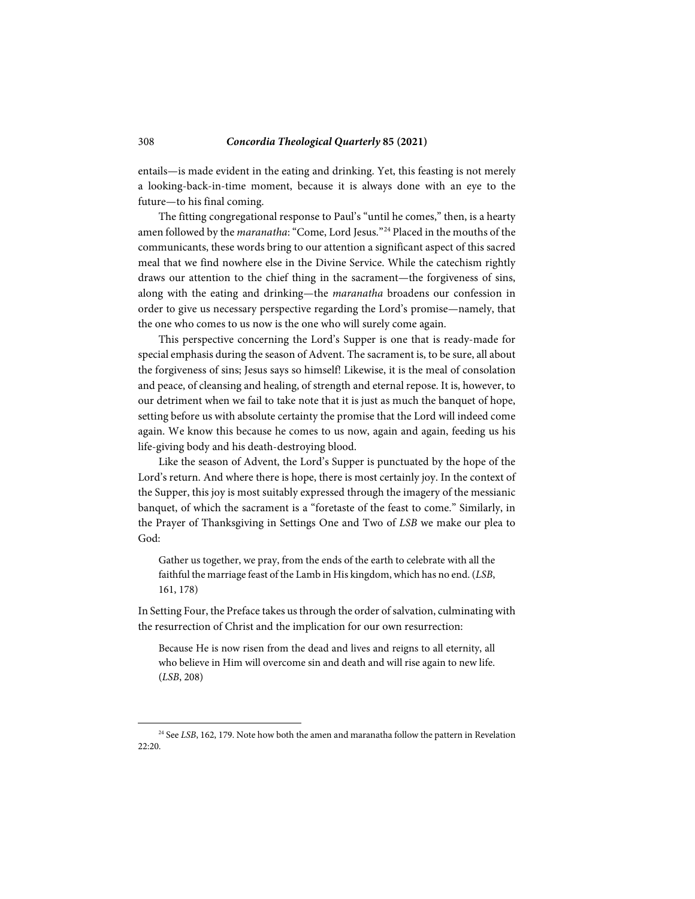entails—is made evident in the eating and drinking. Yet, this feasting is not merely a looking-back-in-time moment, because it is always done with an eye to the future—to his final coming.

The fitting congregational response to Paul's "until he comes," then, is a hearty amen followed by the *maranatha*: "Come, Lord Jesus."[24](#page-13-0) Placed in the mouths of the communicants, these words bring to our attention a significant aspect of this sacred meal that we find nowhere else in the Divine Service. While the catechism rightly draws our attention to the chief thing in the sacrament—the forgiveness of sins, along with the eating and drinking—the *maranatha* broadens our confession in order to give us necessary perspective regarding the Lord's promise—namely, that the one who comes to us now is the one who will surely come again.

This perspective concerning the Lord's Supper is one that is ready-made for special emphasis during the season of Advent. The sacrament is, to be sure, all about the forgiveness of sins; Jesus says so himself! Likewise, it is the meal of consolation and peace, of cleansing and healing, of strength and eternal repose. It is, however, to our detriment when we fail to take note that it is just as much the banquet of hope, setting before us with absolute certainty the promise that the Lord will indeed come again. We know this because he comes to us now, again and again, feeding us his life-giving body and his death-destroying blood.

Like the season of Advent, the Lord's Supper is punctuated by the hope of the Lord's return. And where there is hope, there is most certainly joy. In the context of the Supper, this joy is most suitably expressed through the imagery of the messianic banquet, of which the sacrament is a "foretaste of the feast to come." Similarly, in the Prayer of Thanksgiving in Settings One and Two of *LSB* we make our plea to God:

Gather us together, we pray, from the ends of the earth to celebrate with all the faithful the marriage feast of the Lamb in His kingdom, which has no end. (*LSB*, 161, 178)

In Setting Four, the Preface takes us through the order of salvation, culminating with the resurrection of Christ and the implication for our own resurrection:

Because He is now risen from the dead and lives and reigns to all eternity, all who believe in Him will overcome sin and death and will rise again to new life. (*LSB*, 208)

<span id="page-13-0"></span><sup>&</sup>lt;sup>24</sup> See *LSB*, 162, 179. Note how both the amen and maranatha follow the pattern in Revelation 22:20.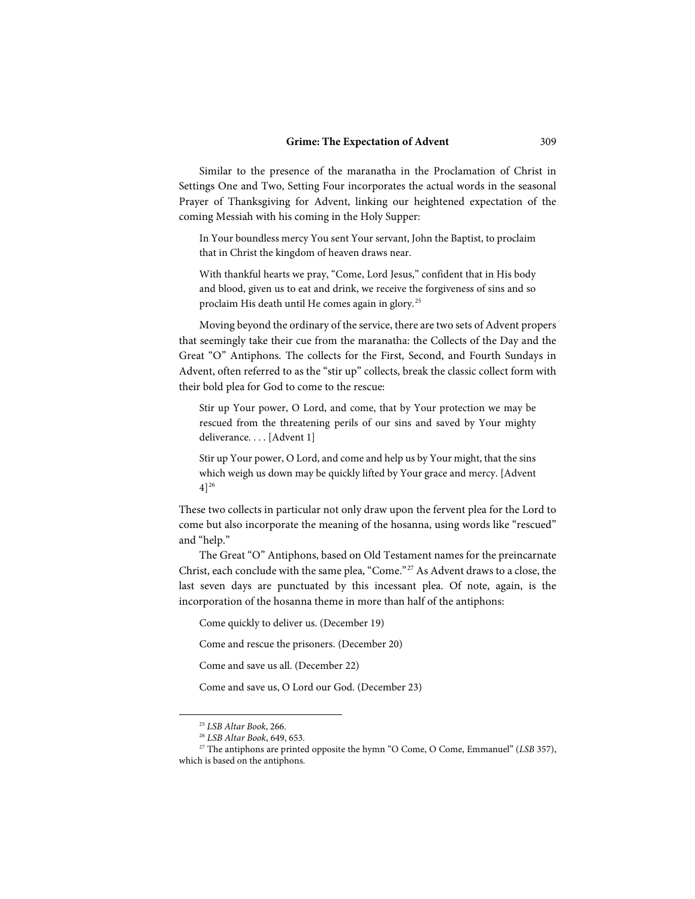Similar to the presence of the maranatha in the Proclamation of Christ in Settings One and Two, Setting Four incorporates the actual words in the seasonal Prayer of Thanksgiving for Advent, linking our heightened expectation of the coming Messiah with his coming in the Holy Supper:

In Your boundless mercy You sent Your servant, John the Baptist, to proclaim that in Christ the kingdom of heaven draws near.

With thankful hearts we pray, "Come, Lord Jesus," confident that in His body and blood, given us to eat and drink, we receive the forgiveness of sins and so proclaim His death until He comes again in glory. [25](#page-14-0)

Moving beyond the ordinary of the service, there are two sets of Advent propers that seemingly take their cue from the maranatha: the Collects of the Day and the Great "O" Antiphons. The collects for the First, Second, and Fourth Sundays in Advent, often referred to as the "stir up" collects, break the classic collect form with their bold plea for God to come to the rescue:

Stir up Your power, O Lord, and come, that by Your protection we may be rescued from the threatening perils of our sins and saved by Your mighty deliverance. . . . [Advent 1]

Stir up Your power, O Lord, and come and help us by Your might, that the sins which weigh us down may be quickly lifted by Your grace and mercy. [Advent  $4]^{26}$  $4]^{26}$  $4]^{26}$ 

These two collects in particular not only draw upon the fervent plea for the Lord to come but also incorporate the meaning of the hosanna, using words like "rescued" and "help."

The Great "O" Antiphons, based on Old Testament names for the preincarnate Christ, each conclude with the same plea, "Come."[27](#page-14-2) As Advent draws to a close, the last seven days are punctuated by this incessant plea. Of note, again, is the incorporation of the hosanna theme in more than half of the antiphons:

Come quickly to deliver us. (December 19)

Come and rescue the prisoners. (December 20)

Come and save us all. (December 22)

Come and save us, O Lord our God. (December 23)

<sup>25</sup> *LSB Altar Book*, 266.

<sup>26</sup> *LSB Altar Book*, 649, 653.

<span id="page-14-2"></span><span id="page-14-1"></span><span id="page-14-0"></span><sup>&</sup>lt;sup>27</sup> The antiphons are printed opposite the hymn "O Come, O Come, Emmanuel" (*LSB* 357), which is based on the antiphons.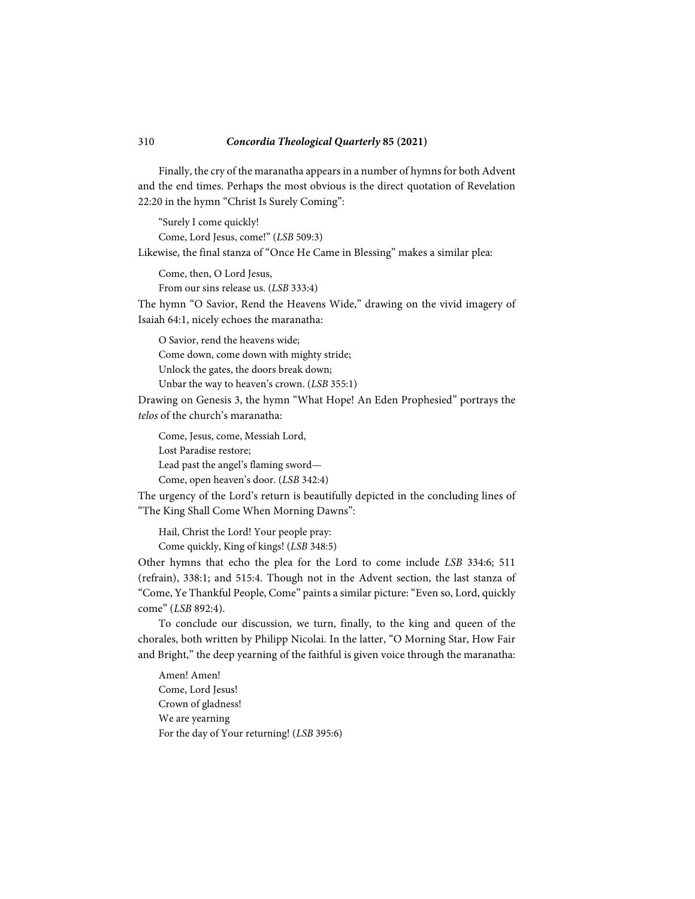Finally, the cry of the maranatha appears in a number of hymns for both Advent and the end times. Perhaps the most obvious is the direct quotation of Revelation 22:20 in the hymn "Christ Is Surely Coming":

"Surely I come quickly! Come, Lord Jesus, come!" (*LSB* 509:3)

Likewise, the final stanza of "Once He Came in Blessing" makes a similar plea:

Come, then, O Lord Jesus,

From our sins release us. (*LSB* 333:4)

The hymn "O Savior, Rend the Heavens Wide," drawing on the vivid imagery of Isaiah 64:1, nicely echoes the maranatha:

O Savior, rend the heavens wide; Come down, come down with mighty stride; Unlock the gates, the doors break down; Unbar the way to heaven's crown. (*LSB* 355:1)

Drawing on Genesis 3, the hymn "What Hope! An Eden Prophesied" portrays the *telos* of the church's maranatha:

Come, Jesus, come, Messiah Lord, Lost Paradise restore; Lead past the angel's flaming sword— Come, open heaven's door. (*LSB* 342:4)

The urgency of the Lord's return is beautifully depicted in the concluding lines of "The King Shall Come When Morning Dawns":

Hail, Christ the Lord! Your people pray: Come quickly, King of kings! (*LSB* 348:5)

Other hymns that echo the plea for the Lord to come include *LSB* 334:6; 511 (refrain), 338:1; and 515:4. Though not in the Advent section, the last stanza of "Come, Ye Thankful People, Come" paints a similar picture: "Even so, Lord, quickly come" (*LSB* 892:4).

To conclude our discussion, we turn, finally, to the king and queen of the chorales, both written by Philipp Nicolai. In the latter, "O Morning Star, How Fair and Bright," the deep yearning of the faithful is given voice through the maranatha:

Amen! Amen! Come, Lord Jesus! Crown of gladness! We are yearning For the day of Your returning! (*LSB* 395:6)